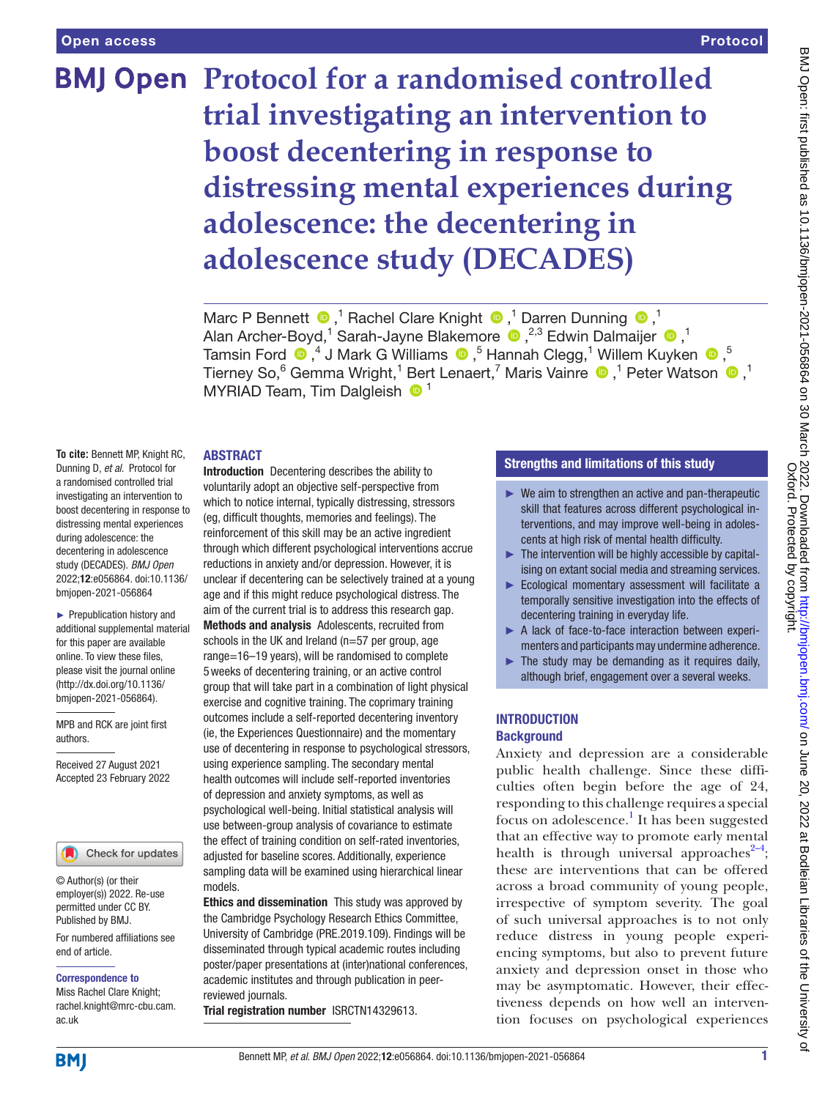# **BMJ Open** Protocol for a randomised controlled **trial investigating an intervention to boost decentering in response to distressing mental experiences during adolescence: the decentering in adolescence study (DECADES)**

MarcP Bennett  $\bullet$ ,<sup>1</sup> Rachel Clare Knight  $\bullet$ ,<sup>1</sup> Darren Dunning  $\bullet$ ,<sup>1</sup> AlanArcher-Boyd,<sup>1</sup> Sarah-Jayne Blakemore (D, <sup>2,3</sup> Edwin Dalmaijer (D, <sup>1</sup>) TamsinFord  $\bigcirc$  ,<sup>4</sup> J Mark G Williams  $\bigcirc$  ,<sup>5</sup> Hannah Clegg,<sup>1</sup> Willem Kuyken  $\bigcirc$  ,<sup>5</sup> Tierney So,<sup>6</sup> Gemma Wright,<sup>1</sup> Bert Lenaert,<sup>7</sup> Maris Vainre  $\bigcirc$  ,<sup>1</sup> Peter Watson  $\bigcirc$  ,<sup>1</sup> MYRIAD Team, Tim Dalgleish  $\bullet$ <sup>1</sup>

#### ABSTRACT

**To cite:** Bennett MP, Knight RC, Dunning D, *et al*. Protocol for a randomised controlled trial investigating an intervention to boost decentering in response to distressing mental experiences during adolescence: the decentering in adolescence study (DECADES). *BMJ Open* 2022;12:e056864. doi:10.1136/ bmjopen-2021-056864

► Prepublication history and additional supplemental material for this paper are available online. To view these files, please visit the journal online [\(http://dx.doi.org/10.1136/](http://dx.doi.org/10.1136/bmjopen-2021-056864) [bmjopen-2021-056864](http://dx.doi.org/10.1136/bmjopen-2021-056864)).

MPB and RCK are joint first authors.

Received 27 August 2021 Accepted 23 February 2022

#### Check for updates

© Author(s) (or their employer(s)) 2022. Re-use permitted under CC BY. Published by BMJ.

For numbered affiliations see end of article.

#### Correspondence to

Miss Rachel Clare Knight; rachel.knight@mrc-cbu.cam. ac.uk

Introduction Decentering describes the ability to voluntarily adopt an objective self-perspective from which to notice internal, typically distressing, stressors (eg, difficult thoughts, memories and feelings). The reinforcement of this skill may be an active ingredient through which different psychological interventions accrue reductions in anxiety and/or depression. However, it is unclear if decentering can be selectively trained at a young age and if this might reduce psychological distress. The aim of the current trial is to address this research gap. Methods and analysis Adolescents, recruited from schools in the UK and Ireland (n=57 per group, age range=16–19 years), will be randomised to complete 5weeks of decentering training, or an active control group that will take part in a combination of light physical exercise and cognitive training. The coprimary training outcomes include a self-reported decentering inventory (ie, the Experiences Questionnaire) and the momentary use of decentering in response to psychological stressors, using experience sampling. The secondary mental health outcomes will include self-reported inventories of depression and anxiety symptoms, as well as psychological well-being. Initial statistical analysis will use between-group analysis of covariance to estimate the effect of training condition on self-rated inventories, adjusted for baseline scores. Additionally, experience sampling data will be examined using hierarchical linear models.

Ethics and dissemination This study was approved by the Cambridge Psychology Research Ethics Committee, University of Cambridge (PRE.2019.109). Findings will be disseminated through typical academic routes including poster/paper presentations at (inter)national conferences, academic institutes and through publication in peerreviewed journals.

Trial registration number <ISRCTN14329613>.

#### Strengths and limitations of this study

- $\blacktriangleright$  We aim to strengthen an active and pan-therapeutic skill that features across different psychological interventions, and may improve well-being in adolescents at high risk of mental health difficulty.
- $\blacktriangleright$  The intervention will be highly accessible by capitalising on extant social media and streaming services.
- ► Ecological momentary assessment will facilitate a temporally sensitive investigation into the effects of decentering training in everyday life.
- ► A lack of face-to-face interaction between experimenters and participants may undermine adherence.
- The study may be demanding as it requires daily, although brief, engagement over a several weeks.

#### **INTRODUCTION Background**

Anxiety and depression are a considerable public health challenge. Since these difficulties often begin before the age of 24, responding to this challenge requires a special focus on adolescence.<sup>1</sup> It has been suggested that an effective way to promote early mental health is through universal approaches<sup> $2-4$ </sup>; these are interventions that can be offered across a broad community of young people, irrespective of symptom severity. The goal of such universal approaches is to not only reduce distress in young people experiencing symptoms, but also to prevent future anxiety and depression onset in those who may be asymptomatic. However, their effectiveness depends on how well an intervention focuses on psychological experiences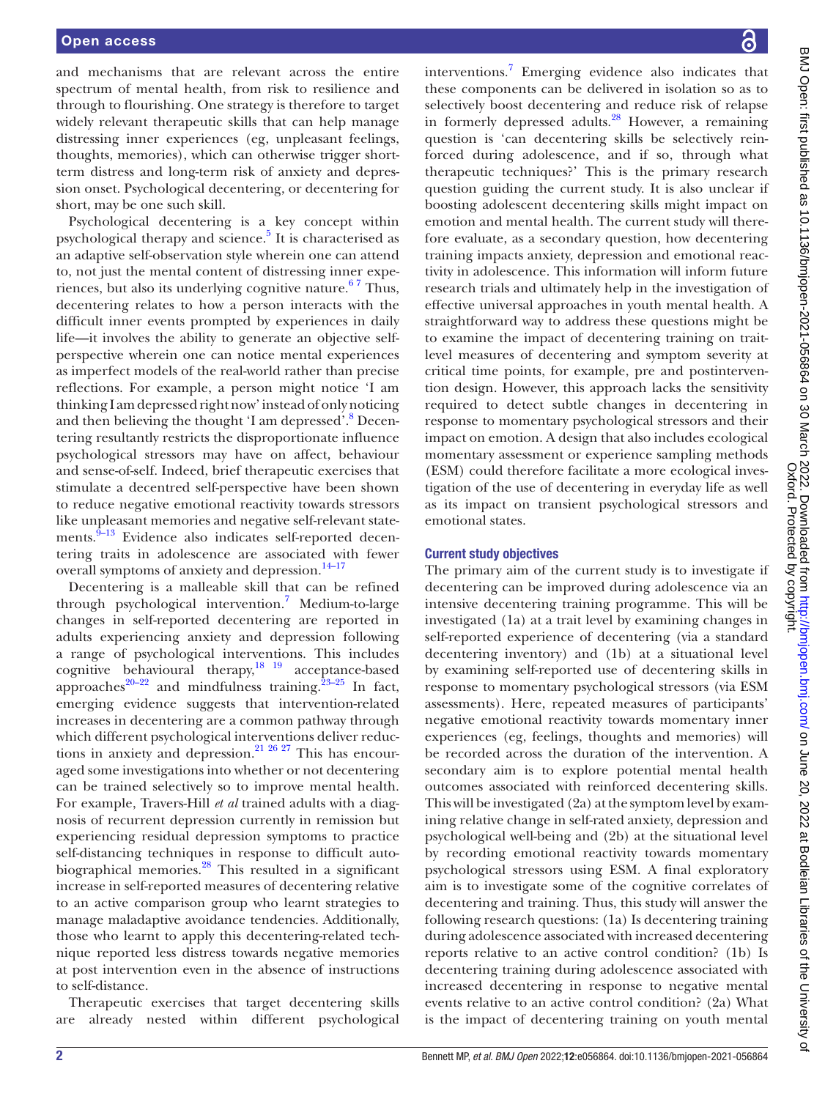and mechanisms that are relevant across the entire spectrum of mental health, from risk to resilience and through to flourishing. One strategy is therefore to target widely relevant therapeutic skills that can help manage distressing inner experiences (eg, unpleasant feelings, thoughts, memories), which can otherwise trigger shortterm distress and long-term risk of anxiety and depression onset. Psychological decentering, or decentering for short, may be one such skill.

Psychological decentering is a key concept within psychological therapy and science.<sup>5</sup> It is characterised as an adaptive self-observation style wherein one can attend to, not just the mental content of distressing inner experiences, but also its underlying cognitive nature.<sup>67</sup> Thus, decentering relates to how a person interacts with the difficult inner events prompted by experiences in daily life—it involves the ability to generate an objective selfperspective wherein one can notice mental experiences as imperfect models of the real-world rather than precise reflections. For example, a person might notice 'I am thinking I am depressed right now' instead of only noticing and then believing the thought 'I am depressed'.<sup>[8](#page-10-4)</sup> Decentering resultantly restricts the disproportionate influence psychological stressors may have on affect, behaviour and sense-of-self. Indeed, brief therapeutic exercises that stimulate a decentred self-perspective have been shown to reduce negative emotional reactivity towards stressors like unpleasant memories and negative self-relevant statements. $9-13$  Evidence also indicates self-reported decentering traits in adolescence are associated with fewer overall symptoms of anxiety and depression.<sup>14-17</sup>

Decentering is a malleable skill that can be refined through psychological intervention.<sup>[7](#page-10-7)</sup> Medium-to-large changes in self-reported decentering are reported in adults experiencing anxiety and depression following a range of psychological interventions. This includes cognitive behavioural therapy, $18 \frac{19}{2}$  acceptance-based approaches<sup>20–22</sup> and mindfulness training.<sup>23–25</sup> In fact, emerging evidence suggests that intervention-related increases in decentering are a common pathway through which different psychological interventions deliver reductions in anxiety and depression.<sup>21 26 27</sup> This has encouraged some investigations into whether or not decentering can be trained selectively so to improve mental health. For example, Travers-Hill *et al* trained adults with a diagnosis of recurrent depression currently in remission but experiencing residual depression symptoms to practice self-distancing techniques in response to difficult autobiographical memories.<sup>28</sup> This resulted in a significant increase in self-reported measures of decentering relative to an active comparison group who learnt strategies to manage maladaptive avoidance tendencies. Additionally, those who learnt to apply this decentering-related technique reported less distress towards negative memories at post intervention even in the absence of instructions to self-distance.

Therapeutic exercises that target decentering skills are already nested within different psychological

interventions.<sup>7</sup> Emerging evidence also indicates that these components can be delivered in isolation so as to selectively boost decentering and reduce risk of relapse in formerly depressed adults.<sup>[28](#page-10-12)</sup> However, a remaining question is 'can decentering skills be selectively reinforced during adolescence, and if so, through what therapeutic techniques?' This is the primary research question guiding the current study. It is also unclear if boosting adolescent decentering skills might impact on emotion and mental health. The current study will therefore evaluate, as a secondary question, how decentering training impacts anxiety, depression and emotional reactivity in adolescence. This information will inform future research trials and ultimately help in the investigation of effective universal approaches in youth mental health. A straightforward way to address these questions might be to examine the impact of decentering training on traitlevel measures of decentering and symptom severity at critical time points, for example, pre and postintervention design. However, this approach lacks the sensitivity required to detect subtle changes in decentering in response to momentary psychological stressors and their impact on emotion. A design that also includes ecological momentary assessment or experience sampling methods (ESM) could therefore facilitate a more ecological investigation of the use of decentering in everyday life as well as its impact on transient psychological stressors and emotional states.

## Current study objectives

The primary aim of the current study is to investigate if decentering can be improved during adolescence via an intensive decentering training programme. This will be investigated (1a) at a trait level by examining changes in self-reported experience of decentering (via a standard decentering inventory) and (1b) at a situational level by examining self-reported use of decentering skills in response to momentary psychological stressors (via ESM assessments). Here, repeated measures of participants' negative emotional reactivity towards momentary inner experiences (eg, feelings, thoughts and memories) will be recorded across the duration of the intervention. A secondary aim is to explore potential mental health outcomes associated with reinforced decentering skills. This will be investigated (2a) at the symptom level by examining relative change in self-rated anxiety, depression and psychological well-being and (2b) at the situational level by recording emotional reactivity towards momentary psychological stressors using ESM. A final exploratory aim is to investigate some of the cognitive correlates of decentering and training. Thus, this study will answer the following research questions: (1a) Is decentering training during adolescence associated with increased decentering reports relative to an active control condition? (1b) Is decentering training during adolescence associated with increased decentering in response to negative mental events relative to an active control condition? (2a) What is the impact of decentering training on youth mental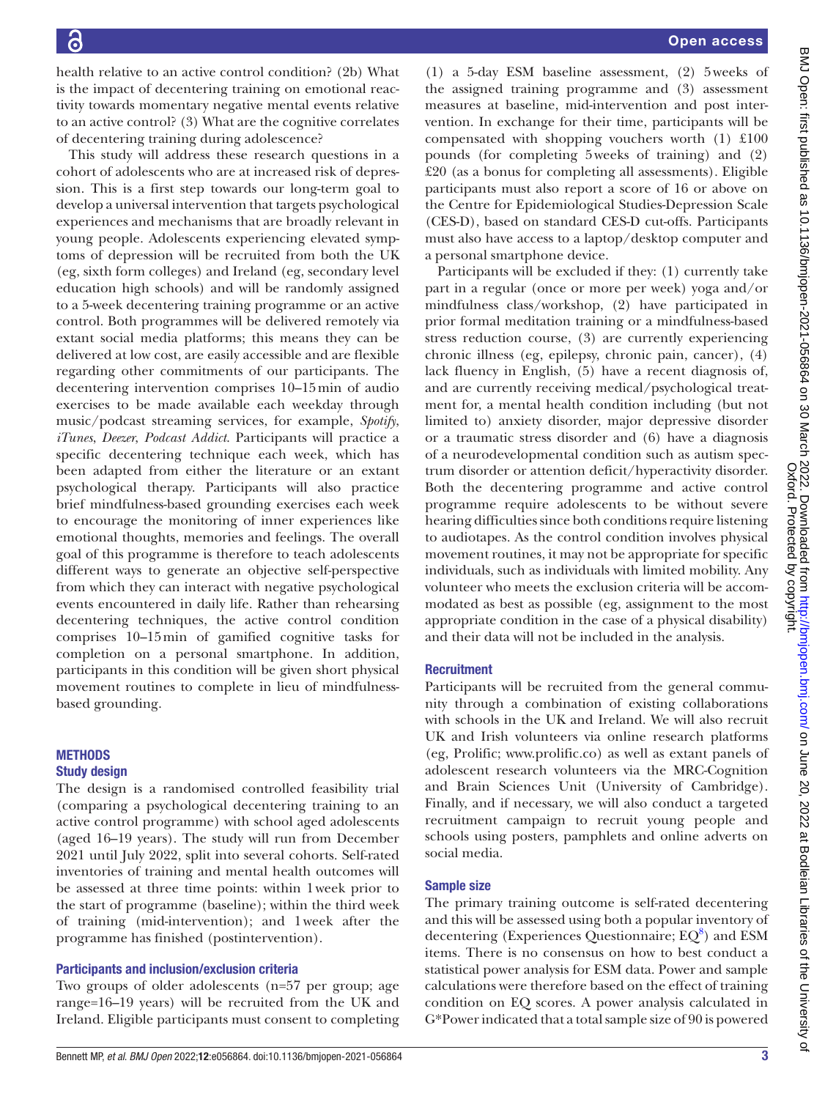health relative to an active control condition? (2b) What is the impact of decentering training on emotional reactivity towards momentary negative mental events relative to an active control? (3) What are the cognitive correlates of decentering training during adolescence?

This study will address these research questions in a cohort of adolescents who are at increased risk of depression. This is a first step towards our long-term goal to develop a universal intervention that targets psychological experiences and mechanisms that are broadly relevant in young people. Adolescents experiencing elevated symptoms of depression will be recruited from both the UK (eg, sixth form colleges) and Ireland (eg, secondary level education high schools) and will be randomly assigned to a 5-week decentering training programme or an active control. Both programmes will be delivered remotely via extant social media platforms; this means they can be delivered at low cost, are easily accessible and are flexible regarding other commitments of our participants. The decentering intervention comprises 10–15min of audio exercises to be made available each weekday through music/podcast streaming services, for example, *Spotify*, *iTunes*, *Deezer*, *Podcast Addict*. Participants will practice a specific decentering technique each week, which has been adapted from either the literature or an extant psychological therapy. Participants will also practice brief mindfulness-based grounding exercises each week to encourage the monitoring of inner experiences like emotional thoughts, memories and feelings. The overall goal of this programme is therefore to teach adolescents different ways to generate an objective self-perspective from which they can interact with negative psychological events encountered in daily life. Rather than rehearsing decentering techniques, the active control condition comprises 10–15min of gamified cognitive tasks for completion on a personal smartphone. In addition, participants in this condition will be given short physical movement routines to complete in lieu of mindfulnessbased grounding.

## **METHODS**

## Study design

The design is a randomised controlled feasibility trial (comparing a psychological decentering training to an active control programme) with school aged adolescents (aged 16–19 years). The study will run from December 2021 until July 2022, split into several cohorts. Self-rated inventories of training and mental health outcomes will be assessed at three time points: within 1week prior to the start of programme (baseline); within the third week of training (mid-intervention); and 1week after the programme has finished (postintervention).

## Participants and inclusion/exclusion criteria

Two groups of older adolescents (n=57 per group; age range=16–19 years) will be recruited from the UK and Ireland. Eligible participants must consent to completing

(1) a 5-day ESM baseline assessment, (2) 5weeks of the assigned training programme and (3) assessment measures at baseline, mid-intervention and post intervention. In exchange for their time, participants will be compensated with shopping vouchers worth (1) £100 pounds (for completing 5weeks of training) and (2) £20 (as a bonus for completing all assessments). Eligible participants must also report a score of 16 or above on the Centre for Epidemiological Studies-Depression Scale (CES-D), based on standard CES-D cut-offs. Participants must also have access to a laptop/desktop computer and a personal smartphone device.

Participants will be excluded if they: (1) currently take part in a regular (once or more per week) yoga and/or mindfulness class/workshop, (2) have participated in prior formal meditation training or a mindfulness-based stress reduction course, (3) are currently experiencing chronic illness (eg, epilepsy, chronic pain, cancer), (4) lack fluency in English, (5) have a recent diagnosis of, and are currently receiving medical/psychological treatment for, a mental health condition including (but not limited to) anxiety disorder, major depressive disorder or a traumatic stress disorder and (6) have a diagnosis of a neurodevelopmental condition such as autism spectrum disorder or attention deficit/hyperactivity disorder. Both the decentering programme and active control programme require adolescents to be without severe hearing difficulties since both conditions require listening to audiotapes. As the control condition involves physical movement routines, it may not be appropriate for specific individuals, such as individuals with limited mobility. Any volunteer who meets the exclusion criteria will be accommodated as best as possible (eg, assignment to the most appropriate condition in the case of a physical disability) and their data will not be included in the analysis.

## **Recruitment**

Participants will be recruited from the general community through a combination of existing collaborations with schools in the UK and Ireland. We will also recruit UK and Irish volunteers via online research platforms (eg, Prolific; [www.prolific.co\)](www.prolific.co) as well as extant panels of adolescent research volunteers via the MRC-Cognition and Brain Sciences Unit (University of Cambridge). Finally, and if necessary, we will also conduct a targeted recruitment campaign to recruit young people and schools using posters, pamphlets and online adverts on social media.

## Sample size

The primary training outcome is self-rated decentering and this will be assessed using both a popular inventory of decentering (Experiences Questionnaire;  $EQ^8$  $EQ^8$ ) and ESM items. There is no consensus on how to best conduct a statistical power analysis for ESM data. Power and sample calculations were therefore based on the effect of training condition on EQ scores. A power analysis calculated in G\*Power indicated that a total sample size of 90 is powered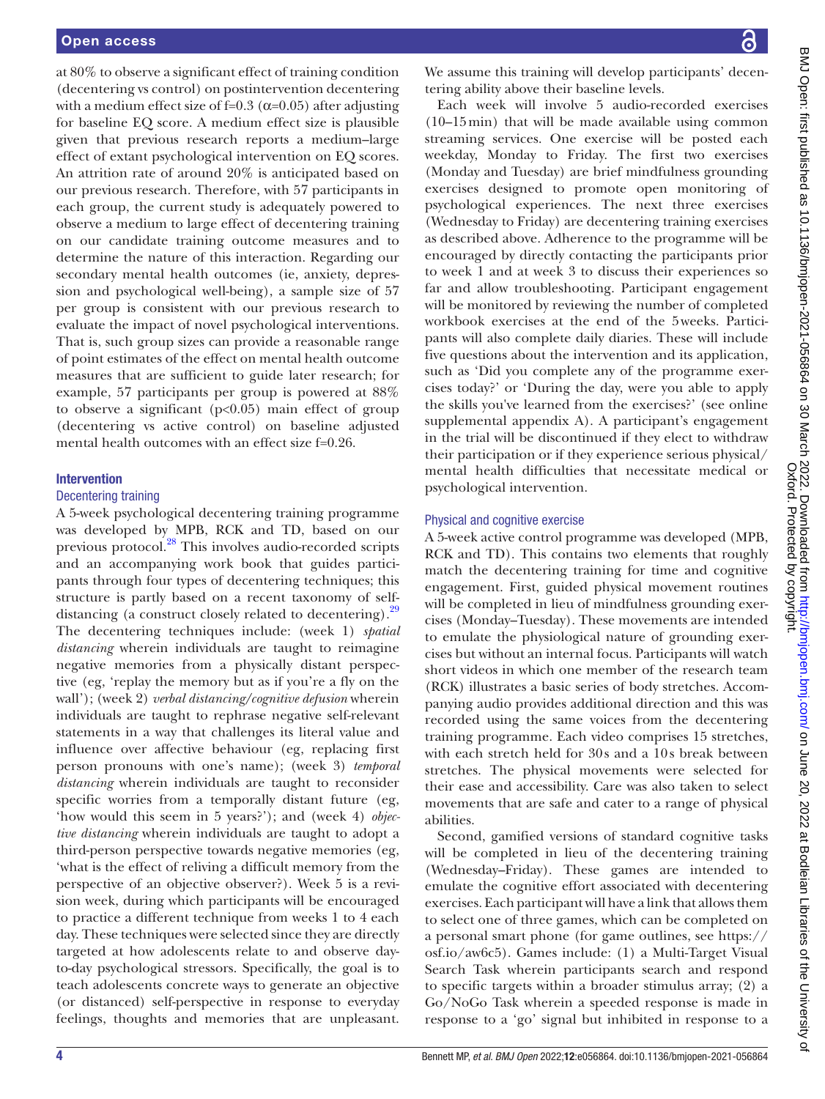at 80% to observe a significant effect of training condition (decentering vs control) on postintervention decentering with a medium effect size of f=0.3 ( $\alpha$ =0.05) after adjusting for baseline EQ score. A medium effect size is plausible given that previous research reports a medium–large effect of extant psychological intervention on EQ scores. An attrition rate of around 20% is anticipated based on our previous research. Therefore, with 57 participants in each group, the current study is adequately powered to observe a medium to large effect of decentering training on our candidate training outcome measures and to determine the nature of this interaction. Regarding our secondary mental health outcomes (ie, anxiety, depression and psychological well-being), a sample size of 57 per group is consistent with our previous research to evaluate the impact of novel psychological interventions. That is, such group sizes can provide a reasonable range of point estimates of the effect on mental health outcome measures that are sufficient to guide later research; for example, 57 participants per group is powered at 88% to observe a significant  $(p<0.05)$  main effect of group (decentering vs active control) on baseline adjusted mental health outcomes with an effect size f=0.26.

#### Intervention

#### Decentering training

A 5-week psychological decentering training programme was developed by MPB, RCK and TD, based on our previous protocol[.28](#page-10-12) This involves audio-recorded scripts and an accompanying work book that guides participants through four types of decentering techniques; this structure is partly based on a recent taxonomy of self-distancing (a construct closely related to decentering).<sup>[29](#page-10-13)</sup> The decentering techniques include: (week 1) *spatial distancing* wherein individuals are taught to reimagine negative memories from a physically distant perspective (eg, 'replay the memory but as if you're a fly on the wall'); (week 2) *verbal distancing/cognitive defusion* wherein individuals are taught to rephrase negative self-relevant statements in a way that challenges its literal value and influence over affective behaviour (eg, replacing first person pronouns with one's name); (week 3) *temporal distancing* wherein individuals are taught to reconsider specific worries from a temporally distant future (eg, 'how would this seem in 5 years?'); and (week 4) *objective distancing* wherein individuals are taught to adopt a third-person perspective towards negative memories (eg, 'what is the effect of reliving a difficult memory from the perspective of an objective observer?). Week 5 is a revision week, during which participants will be encouraged to practice a different technique from weeks 1 to 4 each day. These techniques were selected since they are directly targeted at how adolescents relate to and observe dayto-day psychological stressors. Specifically, the goal is to teach adolescents concrete ways to generate an objective (or distanced) self-perspective in response to everyday feelings, thoughts and memories that are unpleasant.

We assume this training will develop participants' decentering ability above their baseline levels.

Each week will involve 5 audio-recorded exercises (10–15min) that will be made available using common streaming services. One exercise will be posted each weekday, Monday to Friday. The first two exercises (Monday and Tuesday) are brief mindfulness grounding exercises designed to promote open monitoring of psychological experiences. The next three exercises (Wednesday to Friday) are decentering training exercises as described above. Adherence to the programme will be encouraged by directly contacting the participants prior to week 1 and at week 3 to discuss their experiences so far and allow troubleshooting. Participant engagement will be monitored by reviewing the number of completed workbook exercises at the end of the 5weeks. Participants will also complete daily diaries. These will include five questions about the intervention and its application, such as 'Did you complete any of the programme exercises today?' or 'During the day, were you able to apply the skills you've learned from the exercises?' (see [online](https://dx.doi.org/10.1136/bmjopen-2021-056864)  [supplemental appendix A\)](https://dx.doi.org/10.1136/bmjopen-2021-056864). A participant's engagement in the trial will be discontinued if they elect to withdraw their participation or if they experience serious physical/ mental health difficulties that necessitate medical or psychological intervention.

#### Physical and cognitive exercise

A 5-week active control programme was developed (MPB, RCK and TD). This contains two elements that roughly match the decentering training for time and cognitive engagement. First, guided physical movement routines will be completed in lieu of mindfulness grounding exercises (Monday–Tuesday). These movements are intended to emulate the physiological nature of grounding exercises but without an internal focus. Participants will watch short videos in which one member of the research team (RCK) illustrates a basic series of body stretches. Accompanying audio provides additional direction and this was recorded using the same voices from the decentering training programme. Each video comprises 15 stretches, with each stretch held for 30s and a 10s break between stretches. The physical movements were selected for their ease and accessibility. Care was also taken to select movements that are safe and cater to a range of physical abilities.

Second, gamified versions of standard cognitive tasks will be completed in lieu of the decentering training (Wednesday–Friday). These games are intended to emulate the cognitive effort associated with decentering exercises. Each participant will have a link that allows them to select one of three games, which can be completed on a personal smart phone (for game outlines, see [https://](https://osf.io/aw6c5) [osf.io/aw6c5](https://osf.io/aw6c5)). Games include: (1) a Multi-Target Visual Search Task wherein participants search and respond to specific targets within a broader stimulus array; (2) a Go/NoGo Task wherein a speeded response is made in response to a 'go' signal but inhibited in response to a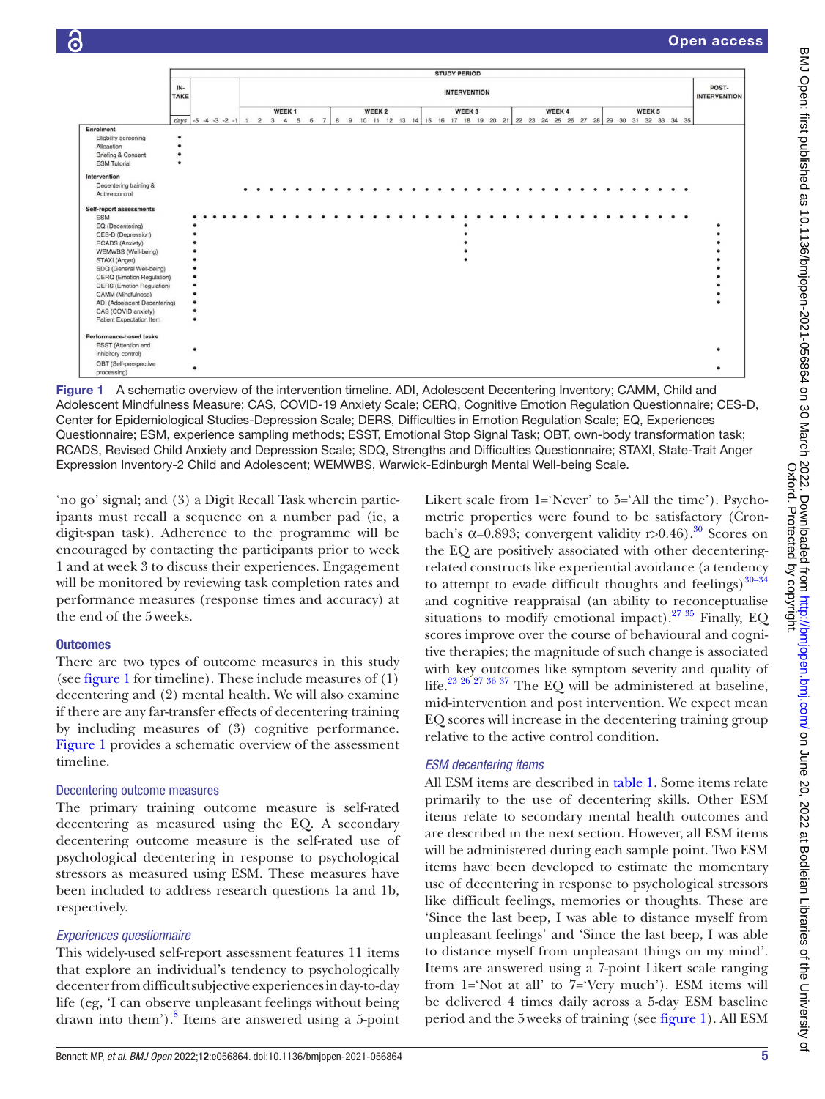

<span id="page-4-0"></span>Figure 1 A schematic overview of the intervention timeline. ADI, Adolescent Decentering Inventory; CAMM, Child and Adolescent Mindfulness Measure; CAS, COVID-19 Anxiety Scale; CERQ, Cognitive Emotion Regulation Questionnaire; CES-D, Center for Epidemiological Studies-Depression Scale; DERS, Difficulties in Emotion Regulation Scale; EQ, Experiences Questionnaire; ESM, experience sampling methods; ESST, Emotional Stop Signal Task; OBT, own-body transformation task; RCADS, Revised Child Anxiety and Depression Scale; SDQ, Strengths and Difficulties Questionnaire; STAXI, State-Trait Anger Expression Inventory-2 Child and Adolescent; WEMWBS, Warwick-Edinburgh Mental Well-being Scale.

'no go' signal; and (3) a Digit Recall Task wherein participants must recall a sequence on a number pad (ie, a digit-span task). Adherence to the programme will be encouraged by contacting the participants prior to week 1 and at week 3 to discuss their experiences. Engagement will be monitored by reviewing task completion rates and performance measures (response times and accuracy) at the end of the 5weeks.

## **Outcomes**

There are two types of outcome measures in this study (see [figure](#page-4-0) 1 for timeline). These include measures of (1) decentering and (2) mental health. We will also examine if there are any far-transfer effects of decentering training by including measures of (3) cognitive performance. [Figure](#page-4-0) 1 provides a schematic overview of the assessment timeline.

#### Decentering outcome measures

The primary training outcome measure is self-rated decentering as measured using the EQ. A secondary decentering outcome measure is the self-rated use of psychological decentering in response to psychological stressors as measured using ESM. These measures have been included to address research questions 1a and 1b, respectively.

## *Experiences questionnaire*

This widely-used self-report assessment features 11 items that explore an individual's tendency to psychologically decenter from difficult subjective experiences in day-to-day life (eg, 'I can observe unpleasant feelings without being drawn into them').<sup>8</sup> Items are answered using a 5-point

Likert scale from 1='Never' to 5='All the time'). Psychometric properties were found to be satisfactory (Cronbach's  $\alpha$ =0.893; convergent validity r>0.46).<sup>30</sup> Scores on the EQ are positively associated with other decenteringrelated constructs like experiential avoidance (a tendency to attempt to evade difficult thoughts and feelings) $30-34$ and cognitive reappraisal (an ability to reconceptualise situations to modify emotional impact).<sup>27 35</sup> Finally, EQ scores improve over the course of behavioural and cognitive therapies; the magnitude of such change is associated with key outcomes like symptom severity and quality of life.<sup>23 26 27 36 37</sup> The EQ will be administered at baseline, mid-intervention and post intervention. We expect mean EQ scores will increase in the decentering training group relative to the active control condition.

## *ESM decentering items*

All ESM items are described in [table](#page-5-0) 1. Some items relate primarily to the use of decentering skills. Other ESM items relate to secondary mental health outcomes and are described in the next section. However, all ESM items will be administered during each sample point. Two ESM items have been developed to estimate the momentary use of decentering in response to psychological stressors like difficult feelings, memories or thoughts. These are 'Since the last beep, I was able to distance myself from unpleasant feelings' and 'Since the last beep, I was able to distance myself from unpleasant things on my mind'. Items are answered using a 7-point Likert scale ranging from 1='Not at all' to 7='Very much'). ESM items will be delivered 4 times daily across a 5-day ESM baseline period and the 5weeks of training (see [figure](#page-4-0) 1). All ESM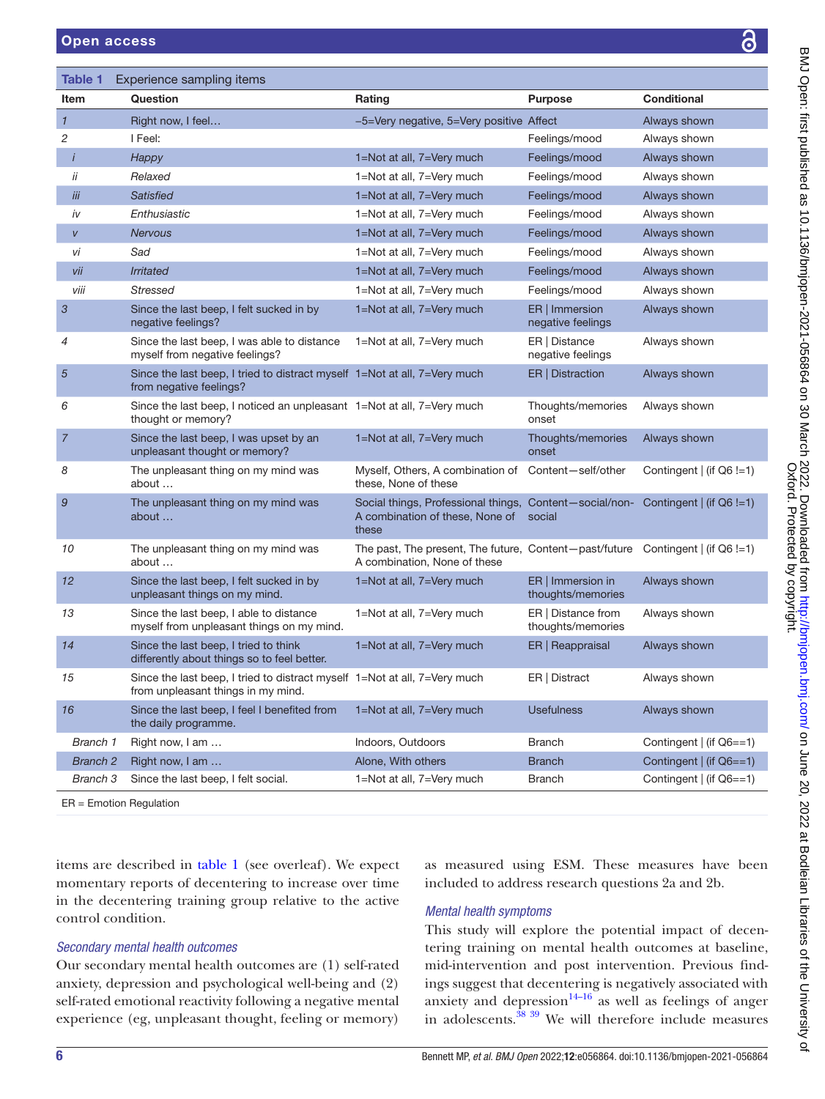<span id="page-5-0"></span>

| <b>Table 1</b>  | Experience sampling items                                                                                       |                                                                                                                   |                                         |                          |
|-----------------|-----------------------------------------------------------------------------------------------------------------|-------------------------------------------------------------------------------------------------------------------|-----------------------------------------|--------------------------|
| Item            | Question                                                                                                        | Rating                                                                                                            | <b>Purpose</b>                          | <b>Conditional</b>       |
| $\mathbf{1}$    | Right now, I feel                                                                                               | -5=Very negative, 5=Very positive Affect                                                                          |                                         | Always shown             |
| $\sqrt{2}$      | I Feel:                                                                                                         |                                                                                                                   | Feelings/mood                           | Always shown             |
| $\mathbf{i}$    | Happy                                                                                                           | 1=Not at all, 7=Very much                                                                                         | Feelings/mood                           | Always shown             |
| ii              | Relaxed                                                                                                         | 1=Not at all, 7=Very much                                                                                         | Feelings/mood                           | Always shown             |
| iii             | <b>Satisfied</b>                                                                                                | 1=Not at all, 7=Very much                                                                                         | Feelings/mood                           | Always shown             |
| iv              | Enthusiastic                                                                                                    | 1=Not at all, 7=Very much                                                                                         | Feelings/mood                           | Always shown             |
| V               | <b>Nervous</b>                                                                                                  | 1=Not at all, 7=Very much                                                                                         | Feelings/mood                           | Always shown             |
| νi              | Sad                                                                                                             | 1=Not at all, 7=Very much                                                                                         | Feelings/mood                           | Always shown             |
| vii             | <b>Irritated</b>                                                                                                | 1=Not at all, 7=Very much                                                                                         | Feelings/mood                           | Always shown             |
| viii            | <b>Stressed</b>                                                                                                 | 1=Not at all, 7=Very much                                                                                         | Feelings/mood                           | Always shown             |
| 3               | Since the last beep, I felt sucked in by<br>negative feelings?                                                  | 1=Not at all, 7=Very much                                                                                         | ER   Immersion<br>negative feelings     | Always shown             |
| 4               | Since the last beep, I was able to distance<br>myself from negative feelings?                                   | 1=Not at all, 7=Very much                                                                                         | ER   Distance<br>negative feelings      | Always shown             |
| $\overline{5}$  | Since the last beep, I tried to distract myself 1=Not at all, 7=Very much<br>from negative feelings?            |                                                                                                                   | ER   Distraction                        | Always shown             |
| 6               | Since the last beep, I noticed an unpleasant 1=Not at all, 7=Very much<br>thought or memory?                    |                                                                                                                   | Thoughts/memories<br>onset              | Always shown             |
| $\overline{7}$  | Since the last beep, I was upset by an<br>unpleasant thought or memory?                                         | 1=Not at all, 7=Very much                                                                                         | Thoughts/memories<br>onset              | Always shown             |
| 8               | The unpleasant thing on my mind was<br>about                                                                    | Myself, Others, A combination of<br>these, None of these                                                          | Content-self/other                      | Contingent   (if Q6 !=1) |
| 9               | The unpleasant thing on my mind was<br>about                                                                    | Social things, Professional things, Content-social/non-<br>A combination of these, None of<br>these               | social                                  | Contingent   (if Q6 !=1) |
| 10              | The unpleasant thing on my mind was<br>about                                                                    | The past, The present, The future, Content-past/future Contingent $ $ (if Q6 !=1)<br>A combination, None of these |                                         |                          |
| 12              | Since the last beep, I felt sucked in by<br>unpleasant things on my mind.                                       | 1=Not at all, 7=Very much                                                                                         | ER   Immersion in<br>thoughts/memories  | Always shown             |
| 13              | Since the last beep, I able to distance<br>myself from unpleasant things on my mind.                            | 1=Not at all, 7=Very much                                                                                         | ER   Distance from<br>thoughts/memories | Always shown             |
| 14              | Since the last beep, I tried to think<br>differently about things so to feel better.                            | 1=Not at all, 7=Very much                                                                                         | ER   Reappraisal                        | Always shown             |
| 15              | Since the last beep, I tried to distract myself 1=Not at all, 7=Very much<br>from unpleasant things in my mind. |                                                                                                                   | ER   Distract                           | Always shown             |
| 16              | Since the last beep, I feel I benefited from<br>the daily programme.                                            | 1=Not at all, 7=Very much                                                                                         | <b>Usefulness</b>                       | Always shown             |
| Branch 1        | Right now, I am                                                                                                 | Indoors, Outdoors                                                                                                 | <b>Branch</b>                           | Contingent   (if Q6==1)  |
| <b>Branch 2</b> | Right now, I am                                                                                                 | Alone, With others                                                                                                | <b>Branch</b>                           | Contingent   (if Q6==1)  |
| Branch 3        | Since the last beep, I felt social.                                                                             | 1=Not at all, 7=Very much                                                                                         | <b>Branch</b>                           | Contingent   (if Q6==1)  |
|                 |                                                                                                                 |                                                                                                                   |                                         |                          |

ER = Emotion Regulation

items are described in [table](#page-5-0) 1 (see overleaf). We expect momentary reports of decentering to increase over time in the decentering training group relative to the active control condition.

## *Secondary mental health outcomes*

Our secondary mental health outcomes are (1) self-rated anxiety, depression and psychological well-being and (2) self-rated emotional reactivity following a negative mental experience (eg, unpleasant thought, feeling or memory)

as measured using ESM. These measures have been included to address research questions 2a and 2b.

## *Mental health symptoms*

This study will explore the potential impact of decentering training on mental health outcomes at baseline, mid-intervention and post intervention. Previous findings suggest that decentering is negatively associated with anxiety and depression $14-16$  as well as feelings of anger in adolescents. $38 \times 39$  We will therefore include measures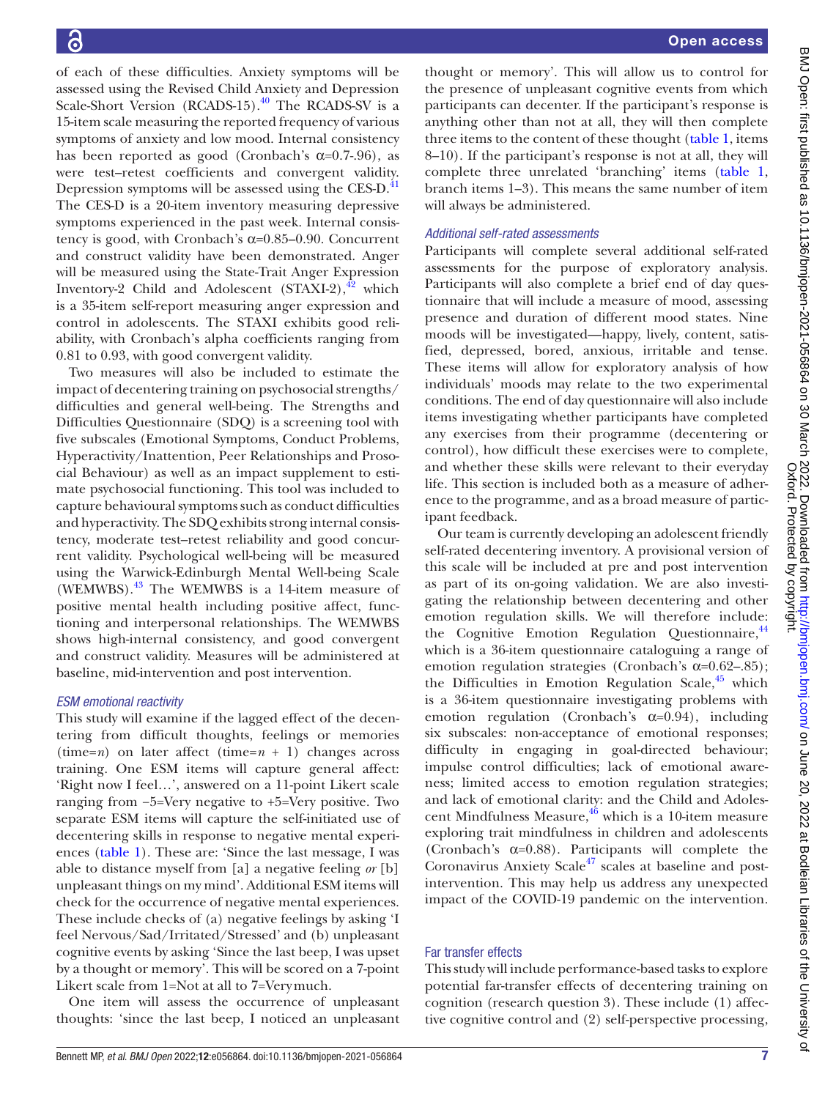of each of these difficulties. Anxiety symptoms will be assessed using the Revised Child Anxiety and Depression Scale-Short Version (RCADS-15).<sup>40</sup> The RCADS-SV is a 15-item scale measuring the reported frequency of various symptoms of anxiety and low mood. Internal consistency has been reported as good (Cronbach's  $\alpha$ =0.7-.96), as were test–retest coefficients and convergent validity. Depression symptoms will be assessed using the CES-D.<sup>[41](#page-11-0)</sup> The CES-D is a 20-item inventory measuring depressive symptoms experienced in the past week. Internal consistency is good, with Cronbach's  $\alpha$ =0.85–0.90. Concurrent and construct validity have been demonstrated. Anger will be measured using the State-Trait Anger Expression Inventory-2 Child and Adolescent  $(STAXI-2),<sup>42</sup>$  which is a 35-item self-report measuring anger expression and control in adolescents. The STAXI exhibits good reliability, with Cronbach's alpha coefficients ranging from 0.81 to 0.93, with good convergent validity.

Two measures will also be included to estimate the impact of decentering training on psychosocial strengths/ difficulties and general well-being. The Strengths and Difficulties Questionnaire (SDQ) is a screening tool with five subscales (Emotional Symptoms, Conduct Problems, Hyperactivity/Inattention, Peer Relationships and Prosocial Behaviour) as well as an impact supplement to estimate psychosocial functioning. This tool was included to capture behavioural symptoms such as conduct difficulties and hyperactivity. The SDQ exhibits strong internal consistency, moderate test–retest reliability and good concurrent validity. Psychological well-being will be measured using the Warwick-Edinburgh Mental Well-being Scale (WEMWBS).[43](#page-11-2) The WEMWBS is a 14-item measure of positive mental health including positive affect, functioning and interpersonal relationships. The WEMWBS shows high-internal consistency, and good convergent and construct validity. Measures will be administered at baseline, mid-intervention and post intervention.

## *ESM emotional reactivity*

This study will examine if the lagged effect of the decentering from difficult thoughts, feelings or memories (time= $n$ ) on later affect (time= $n + 1$ ) changes across training. One ESM items will capture general affect: 'Right now I feel…', answered on a 11-point Likert scale ranging from −5=Very negative to +5=Very positive. Two separate ESM items will capture the self-initiated use of decentering skills in response to negative mental experiences [\(table](#page-5-0) 1). These are: 'Since the last message, I was able to distance myself from [a] a negative feeling *or* [b] unpleasant things on my mind'. Additional ESM items will check for the occurrence of negative mental experiences. These include checks of (a) negative feelings by asking 'I feel Nervous/Sad/Irritated/Stressed' and (b) unpleasant cognitive events by asking 'Since the last beep, I was upset by a thought or memory'. This will be scored on a 7-point Likert scale from 1=Not at all to 7=Verymuch.

One item will assess the occurrence of unpleasant thoughts: 'since the last beep, I noticed an unpleasant

thought or memory'. This will allow us to control for the presence of unpleasant cognitive events from which participants can decenter. If the participant's response is anything other than not at all, they will then complete three items to the content of these thought [\(table](#page-5-0) 1, items 8–10). If the participant's response is not at all, they will complete three unrelated 'branching' items ([table](#page-5-0) 1, branch items 1–3). This means the same number of item will always be administered.

## *Additional self-rated assessments*

Participants will complete several additional self-rated assessments for the purpose of exploratory analysis. Participants will also complete a brief end of day questionnaire that will include a measure of mood, assessing presence and duration of different mood states. Nine moods will be investigated—happy, lively, content, satisfied, depressed, bored, anxious, irritable and tense. These items will allow for exploratory analysis of how individuals' moods may relate to the two experimental conditions. The end of day questionnaire will also include items investigating whether participants have completed any exercises from their programme (decentering or control), how difficult these exercises were to complete, and whether these skills were relevant to their everyday life. This section is included both as a measure of adherence to the programme, and as a broad measure of participant feedback.

Our team is currently developing an adolescent friendly self-rated decentering inventory. A provisional version of this scale will be included at pre and post intervention as part of its on-going validation. We are also investigating the relationship between decentering and other emotion regulation skills. We will therefore include: the Cognitive Emotion Regulation Questionnaire, <sup>[44](#page-11-3)</sup> which is a 36-item questionnaire cataloguing a range of emotion regulation strategies (Cronbach's  $\alpha$ =0.62–.85); the Difficulties in Emotion Regulation Scale, $45$  which is a 36-item questionnaire investigating problems with emotion regulation (Cronbach's  $\alpha=0.94$ ), including six subscales: non-acceptance of emotional responses; difficulty in engaging in goal-directed behaviour; impulse control difficulties; lack of emotional awareness; limited access to emotion regulation strategies; and lack of emotional clarity: and the Child and Adolescent Mindfulness Measure,  $46$  which is a 10-item measure exploring trait mindfulness in children and adolescents (Cronbach's  $\alpha$ =0.88). Participants will complete the Coronavirus Anxiety Scale<sup>47</sup> scales at baseline and postintervention. This may help us address any unexpected impact of the COVID-19 pandemic on the intervention.

## Far transfer effects

This study will include performance-based tasks to explore potential far-transfer effects of decentering training on cognition (research question 3). These include (1) affective cognitive control and (2) self-perspective processing,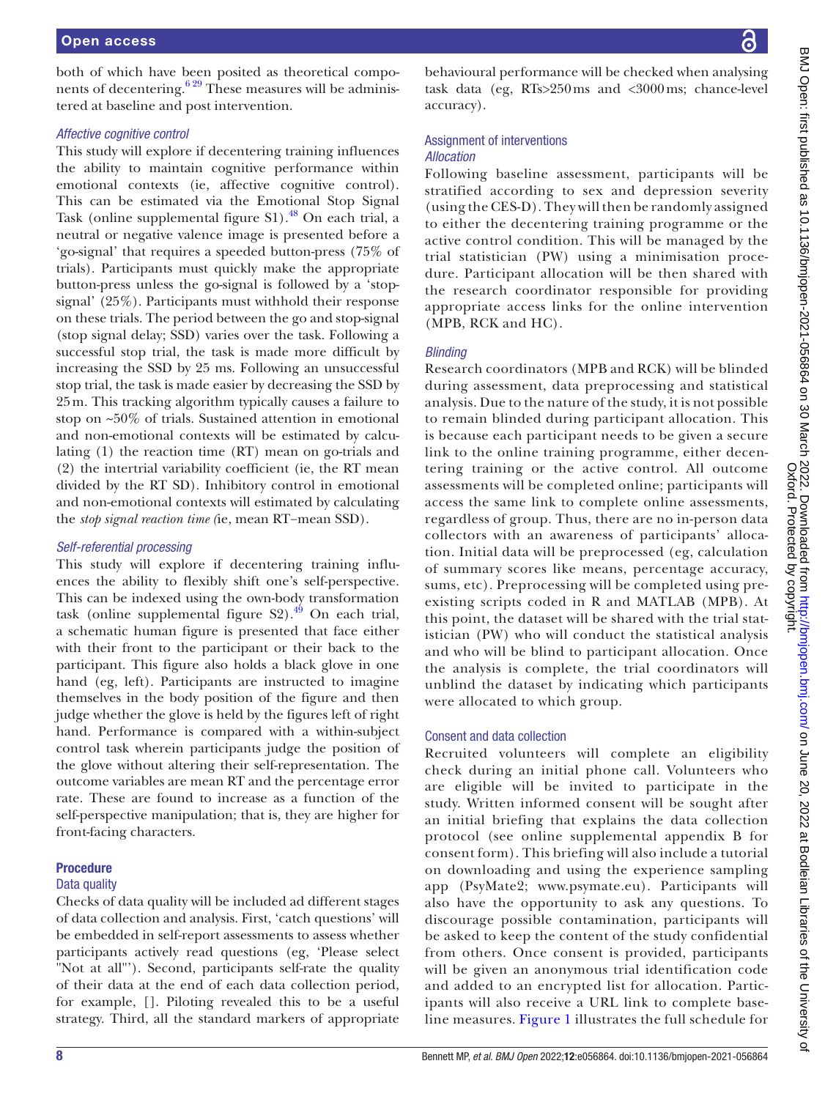both of which have been posited as theoretical components of decentering.<sup>629</sup> These measures will be administered at baseline and post intervention.

#### *Affective cognitive control*

This study will explore if decentering training influences the ability to maintain cognitive performance within emotional contexts (ie, affective cognitive control). This can be estimated via the Emotional Stop Signal Task ([online supplemental figure S1](https://dx.doi.org/10.1136/bmjopen-2021-056864)).<sup>[48](#page-11-7)</sup> On each trial, a neutral or negative valence image is presented before a 'go-signal' that requires a speeded button-press (75% of trials). Participants must quickly make the appropriate button-press unless the go-signal is followed by a 'stopsignal' (25%). Participants must withhold their response on these trials. The period between the go and stop-signal (stop signal delay; SSD) varies over the task. Following a successful stop trial, the task is made more difficult by increasing the SSD by 25 ms. Following an unsuccessful stop trial, the task is made easier by decreasing the SSD by 25m. This tracking algorithm typically causes a failure to stop on ~50% of trials. Sustained attention in emotional and non-emotional contexts will be estimated by calculating (1) the reaction time (RT) mean on go-trials and (2) the intertrial variability coefficient (ie, the RT mean divided by the RT SD). Inhibitory control in emotional and non-emotional contexts will estimated by calculating the *stop signal reaction time (*ie, mean RT−mean SSD).

## *Self-referential processing*

This study will explore if decentering training influences the ability to flexibly shift one's self-perspective. This can be indexed using the own-body transformation task (online supplemental figure  $S2$ ).<sup>49</sup> On each trial, a schematic human figure is presented that face either with their front to the participant or their back to the participant. This figure also holds a black glove in one hand (eg, left). Participants are instructed to imagine themselves in the body position of the figure and then judge whether the glove is held by the figures left of right hand. Performance is compared with a within-subject control task wherein participants judge the position of the glove without altering their self-representation. The outcome variables are mean RT and the percentage error rate. These are found to increase as a function of the self-perspective manipulation; that is, they are higher for front-facing characters.

## Procedure

## Data quality

Checks of data quality will be included ad different stages of data collection and analysis. First, 'catch questions' will be embedded in self-report assessments to assess whether participants actively read questions (eg, 'Please select "Not at all"'). Second, participants self-rate the quality of their data at the end of each data collection period, for example, []. Piloting revealed this to be a useful strategy. Third, all the standard markers of appropriate

behavioural performance will be checked when analysing task data (eg, RTs>250ms and <3000ms; chance-level accuracy).

# Assignment of interventions

## *Allocation*

Following baseline assessment, participants will be stratified according to sex and depression severity (using the CES-D). They will then be randomly assigned to either the decentering training programme or the active control condition. This will be managed by the trial statistician (PW) using a minimisation procedure. Participant allocation will be then shared with the research coordinator responsible for providing appropriate access links for the online intervention (MPB, RCK and HC).

## *Blinding*

Research coordinators (MPB and RCK) will be blinded during assessment, data preprocessing and statistical analysis. Due to the nature of the study, it is not possible to remain blinded during participant allocation. This is because each participant needs to be given a secure link to the online training programme, either decentering training or the active control. All outcome assessments will be completed online; participants will access the same link to complete online assessments, regardless of group. Thus, there are no in-person data collectors with an awareness of participants' allocation. Initial data will be preprocessed (eg, calculation of summary scores like means, percentage accuracy, sums, etc). Preprocessing will be completed using preexisting scripts coded in R and MATLAB (MPB). At this point, the dataset will be shared with the trial statistician (PW) who will conduct the statistical analysis and who will be blind to participant allocation. Once the analysis is complete, the trial coordinators will unblind the dataset by indicating which participants were allocated to which group.

## Consent and data collection

Recruited volunteers will complete an eligibility check during an initial phone call. Volunteers who are eligible will be invited to participate in the study. Written informed consent will be sought after an initial briefing that explains the data collection protocol (see [online supplemental appendix B](https://dx.doi.org/10.1136/bmjopen-2021-056864) for consent form). This briefing will also include a tutorial on downloading and using the experience sampling app (PsyMate2; [www.psymate.eu\)](www.psymate.eu). Participants will also have the opportunity to ask any questions. To discourage possible contamination, participants will be asked to keep the content of the study confidential from others. Once consent is provided, participants will be given an anonymous trial identification code and added to an encrypted list for allocation. Participants will also receive a URL link to complete baseline measures. [Figure](#page-4-0) 1 illustrates the full schedule for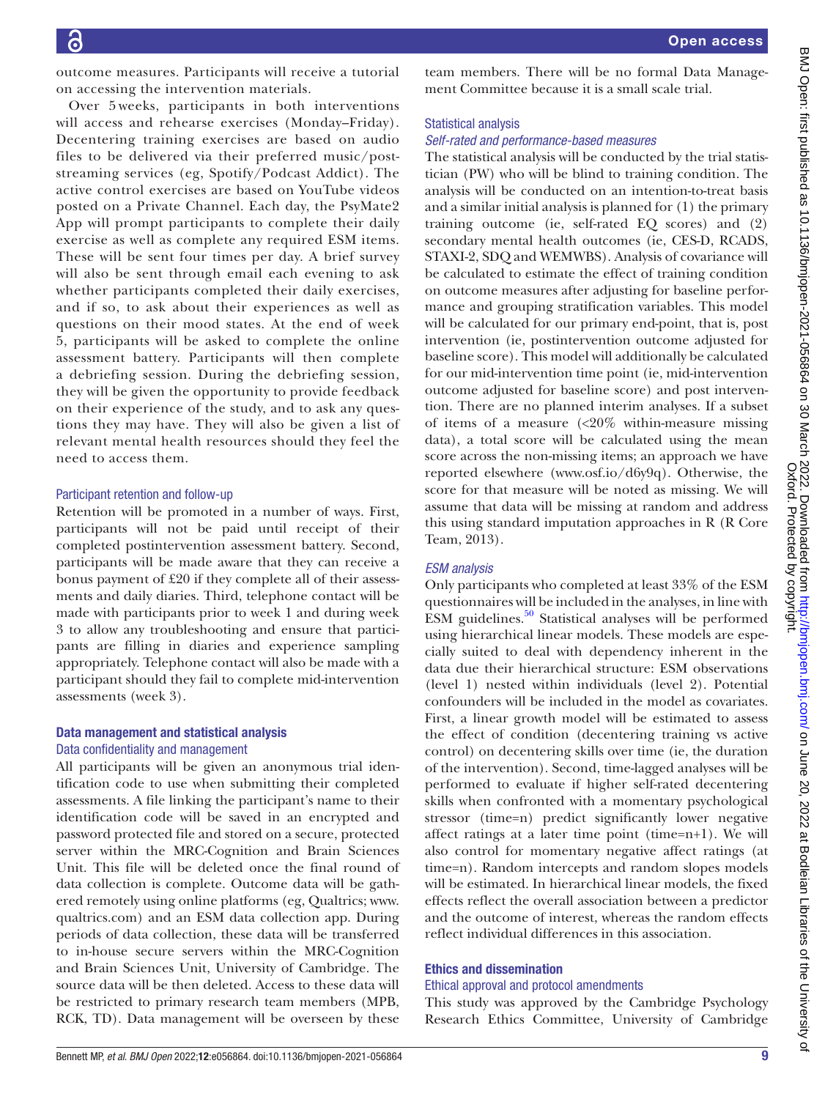outcome measures. Participants will receive a tutorial on accessing the intervention materials.

Over 5 weeks, participants in both interventions will access and rehearse exercises (Monday–Friday). Decentering training exercises are based on audio files to be delivered via their preferred music/poststreaming services (eg, Spotify/Podcast Addict). The active control exercises are based on YouTube videos posted on a Private Channel. Each day, the PsyMate2 App will prompt participants to complete their daily exercise as well as complete any required ESM items. These will be sent four times per day. A brief survey will also be sent through email each evening to ask whether participants completed their daily exercises, and if so, to ask about their experiences as well as questions on their mood states. At the end of week 5, participants will be asked to complete the online assessment battery. Participants will then complete a debriefing session. During the debriefing session, they will be given the opportunity to provide feedback on their experience of the study, and to ask any questions they may have. They will also be given a list of relevant mental health resources should they feel the need to access them.

#### Participant retention and follow-up

Retention will be promoted in a number of ways. First, participants will not be paid until receipt of their completed postintervention assessment battery. Second, participants will be made aware that they can receive a bonus payment of £20 if they complete all of their assessments and daily diaries. Third, telephone contact will be made with participants prior to week 1 and during week 3 to allow any troubleshooting and ensure that participants are filling in diaries and experience sampling appropriately. Telephone contact will also be made with a participant should they fail to complete mid-intervention assessments (week 3).

# Data management and statistical analysis

## Data confidentiality and management

All participants will be given an anonymous trial identification code to use when submitting their completed assessments. A file linking the participant's name to their identification code will be saved in an encrypted and password protected file and stored on a secure, protected server within the MRC-Cognition and Brain Sciences Unit. This file will be deleted once the final round of data collection is complete. Outcome data will be gathered remotely using online platforms (eg, Qualtrics; [www.](www.qualtrics.com) [qualtrics.com](www.qualtrics.com)) and an ESM data collection app. During periods of data collection, these data will be transferred to in-house secure servers within the MRC-Cognition and Brain Sciences Unit, University of Cambridge. The source data will be then deleted. Access to these data will be restricted to primary research team members (MPB, RCK, TD). Data management will be overseen by these

team members. There will be no formal Data Management Committee because it is a small scale trial.

#### Statistical analysis

## *Self-rated and performance-based measures*

The statistical analysis will be conducted by the trial statistician (PW) who will be blind to training condition. The analysis will be conducted on an intention-to-treat basis and a similar initial analysis is planned for (1) the primary training outcome (ie, self-rated EQ scores) and (2) secondary mental health outcomes (ie, CES-D, RCADS, STAXI-2, SDQ and WEMWBS). Analysis of covariance will be calculated to estimate the effect of training condition on outcome measures after adjusting for baseline performance and grouping stratification variables. This model will be calculated for our primary end-point, that is, post intervention (ie, postintervention outcome adjusted for baseline score). This model will additionally be calculated for our mid-intervention time point (ie, mid-intervention outcome adjusted for baseline score) and post intervention. There are no planned interim analyses. If a subset of items of a measure (<20% within-measure missing data), a total score will be calculated using the mean score across the non-missing items; an approach we have reported elsewhere [\(www.osf.io/d6y9q\)](www.osf.io/d6y9q). Otherwise, the score for that measure will be noted as missing. We will assume that data will be missing at random and address this using standard imputation approaches in R (R Core Team, 2013).

## *ESM analysis*

Only participants who completed at least 33% of the ESM questionnaires will be included in the analyses, in line with ESM guidelines. $50$  Statistical analyses will be performed using hierarchical linear models. These models are especially suited to deal with dependency inherent in the data due their hierarchical structure: ESM observations (level 1) nested within individuals (level 2). Potential confounders will be included in the model as covariates. First, a linear growth model will be estimated to assess the effect of condition (decentering training vs active control) on decentering skills over time (ie, the duration of the intervention). Second, time-lagged analyses will be performed to evaluate if higher self-rated decentering skills when confronted with a momentary psychological stressor (time=n) predict significantly lower negative affect ratings at a later time point (time=n+1). We will also control for momentary negative affect ratings (at time=n). Random intercepts and random slopes models will be estimated. In hierarchical linear models, the fixed effects reflect the overall association between a predictor and the outcome of interest, whereas the random effects reflect individual differences in this association.

#### Ethics and dissemination

#### Ethical approval and protocol amendments

This study was approved by the Cambridge Psychology Research Ethics Committee, University of Cambridge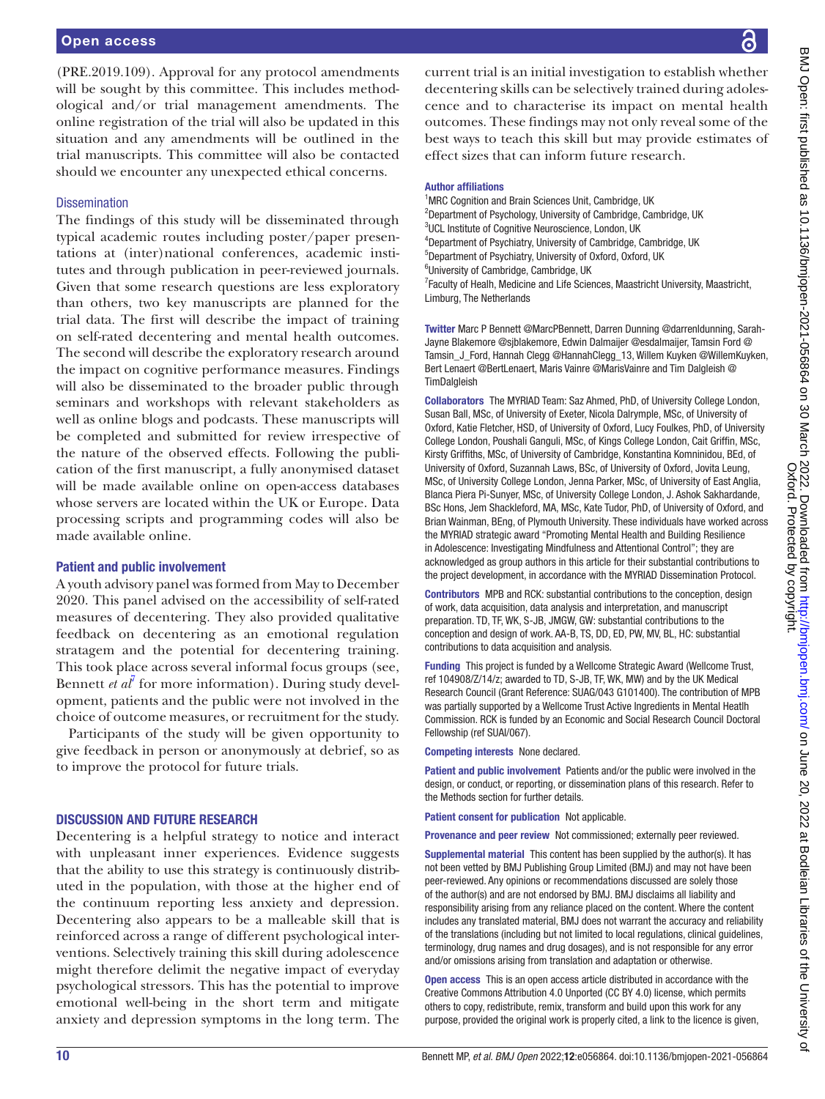(PRE.2019.109). Approval for any protocol amendments will be sought by this committee. This includes methodological and/or trial management amendments. The online registration of the trial will also be updated in this situation and any amendments will be outlined in the trial manuscripts. This committee will also be contacted should we encounter any unexpected ethical concerns.

#### **Dissemination**

The findings of this study will be disseminated through typical academic routes including poster/paper presentations at (inter)national conferences, academic institutes and through publication in peer-reviewed journals. Given that some research questions are less exploratory than others, two key manuscripts are planned for the trial data. The first will describe the impact of training on self-rated decentering and mental health outcomes. The second will describe the exploratory research around the impact on cognitive performance measures. Findings will also be disseminated to the broader public through seminars and workshops with relevant stakeholders as well as online blogs and podcasts. These manuscripts will be completed and submitted for review irrespective of the nature of the observed effects. Following the publication of the first manuscript, a fully anonymised dataset will be made available online on open-access databases whose servers are located within the UK or Europe. Data processing scripts and programming codes will also be made available online.

#### Patient and public involvement

A youth advisory panel was formed from May to December 2020. This panel advised on the accessibility of self-rated measures of decentering. They also provided qualitative feedback on decentering as an emotional regulation stratagem and the potential for decentering training. This took place across several informal focus groups (see, Bennett *et al<sup>†</sup>* for more information). During study development, patients and the public were not involved in the choice of outcome measures, or recruitment for the study.

Participants of the study will be given opportunity to give feedback in person or anonymously at debrief, so as to improve the protocol for future trials.

## DISCUSSION AND FUTURE RESEARCH

Decentering is a helpful strategy to notice and interact with unpleasant inner experiences. Evidence suggests that the ability to use this strategy is continuously distributed in the population, with those at the higher end of the continuum reporting less anxiety and depression. Decentering also appears to be a malleable skill that is reinforced across a range of different psychological interventions. Selectively training this skill during adolescence might therefore delimit the negative impact of everyday psychological stressors. This has the potential to improve emotional well-being in the short term and mitigate anxiety and depression symptoms in the long term. The

current trial is an initial investigation to establish whether decentering skills can be selectively trained during adolescence and to characterise its impact on mental health outcomes. These findings may not only reveal some of the best ways to teach this skill but may provide estimates of effect sizes that can inform future research.

#### Author affiliations

<sup>1</sup>MRC Cognition and Brain Sciences Unit, Cambridge, UK <sup>2</sup>Department of Psychology, University of Cambridge, Cambridge, UK <sup>3</sup>UCL Institute of Cognitive Neuroscience, London, UK 4 Department of Psychiatry, University of Cambridge, Cambridge, UK 5 Department of Psychiatry, University of Oxford, Oxford, UK 6 University of Cambridge, Cambridge, UK <sup>7</sup> Faculty of Healh, Medicine and Life Sciences, Maastricht University, Maastricht,

Limburg, The Netherlands

Twitter Marc P Bennett [@MarcPBennett](https://twitter.com/MarcPBennett), Darren Dunning [@darrenldunning](https://twitter.com/darrenldunning), Sarah-Jayne Blakemore [@sjblakemore](https://twitter.com/sjblakemore), Edwin Dalmaijer [@esdalmaijer,](https://twitter.com/esdalmaijer) Tamsin Ford [@](https://twitter.com/Tamsin_J_Ford) Tamsin J Ford, Hannah Clegg @HannahClegg 13, Willem Kuyken [@WillemKuyken](https://twitter.com/WillemKuyken), Bert Lenaert [@BertLenaert](https://twitter.com/BertLenaert), Maris Vainre [@MarisVainre](https://twitter.com/MarisVainre) and Tim Dalgleish [@](https://twitter.com/TimDalgleish) **[TimDalgleish](https://twitter.com/TimDalgleish)** 

Collaborators The MYRIAD Team: Saz Ahmed, PhD, of University College London, Susan Ball, MSc, of University of Exeter, Nicola Dalrymple, MSc, of University of Oxford, Katie Fletcher, HSD, of University of Oxford, Lucy Foulkes, PhD, of University College London, Poushali Ganguli, MSc, of Kings College London, Cait Griffin, MSc, Kirsty Griffiths, MSc, of University of Cambridge, Konstantina Komninidou, BEd, of University of Oxford, Suzannah Laws, BSc, of University of Oxford, Jovita Leung, MSc, of University College London, Jenna Parker, MSc, of University of East Anglia, Blanca Piera Pi-Sunyer, MSc, of University College London, J. Ashok Sakhardande, BSc Hons, Jem Shackleford, MA, MSc, Kate Tudor, PhD, of University of Oxford, and Brian Wainman, BEng, of Plymouth University. These individuals have worked across the MYRIAD strategic award "Promoting Mental Health and Building Resilience in Adolescence: Investigating Mindfulness and Attentional Control"; they are acknowledged as group authors in this article for their substantial contributions to the project development, in accordance with the MYRIAD Dissemination Protocol.

Contributors MPB and RCK: substantial contributions to the conception, design of work, data acquisition, data analysis and interpretation, and manuscript preparation. TD, TF, WK, S-JB, JMGW, GW: substantial contributions to the conception and design of work. AA-B, TS, DD, ED, PW, MV, BL, HC: substantial contributions to data acquisition and analysis.

Funding This project is funded by a Wellcome Strategic Award (Wellcome Trust, ref 104908/Z/14/z; awarded to TD, S-JB, TF, WK, MW) and by the UK Medical Research Council (Grant Reference: SUAG/043 G101400). The contribution of MPB was partially supported by a Wellcome Trust Active Ingredients in Mental Heatlh Commission. RCK is funded by an Economic and Social Research Council Doctoral Fellowship (ref SUAI/067).

Competing interests None declared.

Patient and public involvement Patients and/or the public were involved in the design, or conduct, or reporting, or dissemination plans of this research. Refer to the Methods section for further details.

Patient consent for publication Not applicable.

Provenance and peer review Not commissioned; externally peer reviewed.

Supplemental material This content has been supplied by the author(s). It has not been vetted by BMJ Publishing Group Limited (BMJ) and may not have been peer-reviewed. Any opinions or recommendations discussed are solely those of the author(s) and are not endorsed by BMJ. BMJ disclaims all liability and responsibility arising from any reliance placed on the content. Where the content includes any translated material, BMJ does not warrant the accuracy and reliability of the translations (including but not limited to local regulations, clinical guidelines, terminology, drug names and drug dosages), and is not responsible for any error and/or omissions arising from translation and adaptation or otherwise.

Open access This is an open access article distributed in accordance with the Creative Commons Attribution 4.0 Unported (CC BY 4.0) license, which permits others to copy, redistribute, remix, transform and build upon this work for any purpose, provided the original work is properly cited, a link to the licence is given,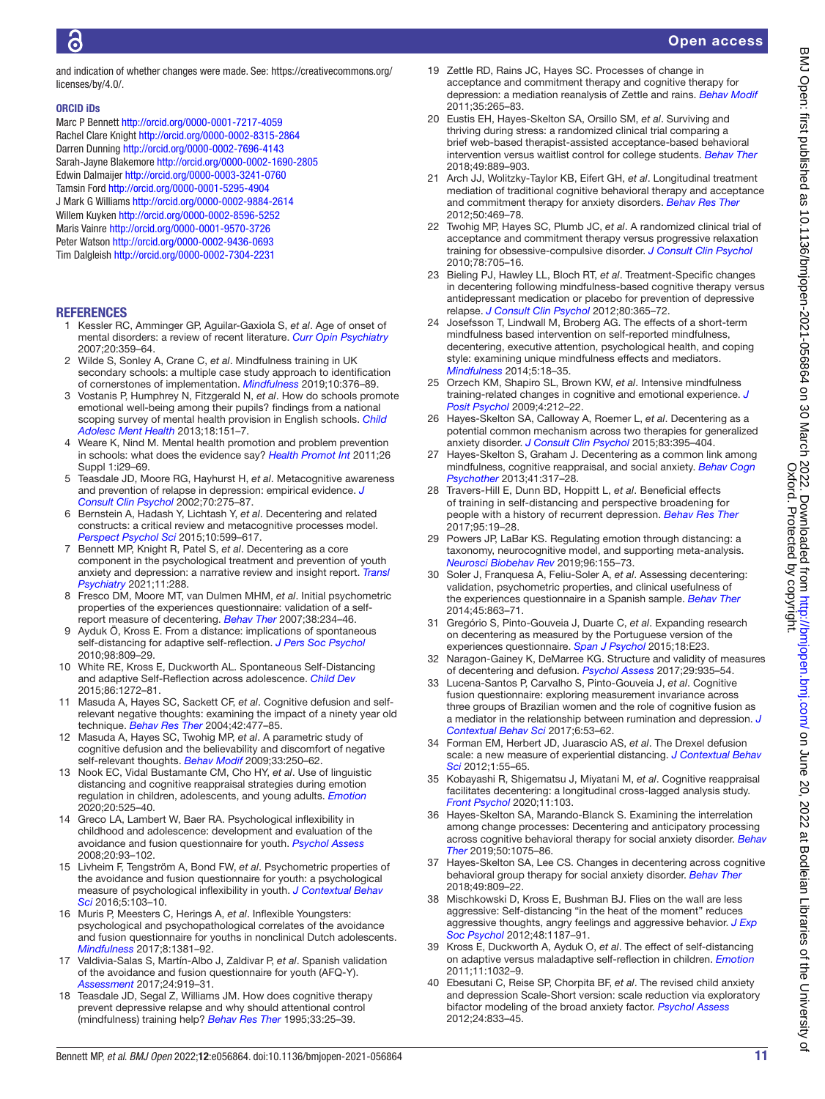and indication of whether changes were made. See: [https://creativecommons.org/](https://creativecommons.org/licenses/by/4.0/) [licenses/by/4.0/.](https://creativecommons.org/licenses/by/4.0/)

#### ORCID iDs

Marc P Bennett <http://orcid.org/0000-0001-7217-4059> Rachel Clare Knight<http://orcid.org/0000-0002-8315-2864> Darren Dunning <http://orcid.org/0000-0002-7696-4143> Sarah-Jayne Blakemore<http://orcid.org/0000-0002-1690-2805> Edwin Dalmaijer<http://orcid.org/0000-0003-3241-0760> Tamsin Ford<http://orcid.org/0000-0001-5295-4904> J Mark G Williams <http://orcid.org/0000-0002-9884-2614> Willem Kuyken <http://orcid.org/0000-0002-8596-5252> Maris Vainre<http://orcid.org/0000-0001-9570-3726> Peter Watson<http://orcid.org/0000-0002-9436-0693> Tim Dalgleish<http://orcid.org/0000-0002-7304-2231>

#### **REFERENCES**

- <span id="page-10-0"></span>1 Kessler RC, Amminger GP, Aguilar-Gaxiola S, *et al*. Age of onset of mental disorders: a review of recent literature. *[Curr Opin Psychiatry](http://dx.doi.org/10.1097/YCO.0b013e32816ebc8c)* 2007;20:359–64.
- <span id="page-10-1"></span>2 Wilde S, Sonley A, Crane C, *et al*. Mindfulness training in UK secondary schools: a multiple case study approach to identification of cornerstones of implementation. *[Mindfulness](http://dx.doi.org/10.1007/s12671-018-0982-4)* 2019;10:376–89.
- 3 Vostanis P, Humphrey N, Fitzgerald N, *et al*. How do schools promote emotional well-being among their pupils? findings from a national scoping survey of mental health provision in English schools. *[Child](http://dx.doi.org/10.1111/j.1475-3588.2012.00677.x)  [Adolesc Ment Health](http://dx.doi.org/10.1111/j.1475-3588.2012.00677.x)* 2013;18:151–7.
- 4 Weare K, Nind M. Mental health promotion and problem prevention in schools: what does the evidence say? *[Health Promot Int](http://dx.doi.org/10.1093/heapro/dar075)* 2011;26 Suppl 1:i29–69.
- <span id="page-10-2"></span>5 Teasdale JD, Moore RG, Hayhurst H, *et al*. Metacognitive awareness and prevention of relapse in depression: empirical evidence. *[J](http://dx.doi.org/10.1037/0022-006X.70.2.275)  [Consult Clin Psychol](http://dx.doi.org/10.1037/0022-006X.70.2.275)* 2002;70:275–87.
- <span id="page-10-3"></span>6 Bernstein A, Hadash Y, Lichtash Y, *et al*. Decentering and related constructs: a critical review and metacognitive processes model. *[Perspect Psychol Sci](http://dx.doi.org/10.1177/1745691615594577)* 2015;10:599–617.
- <span id="page-10-7"></span>7 Bennett MP, Knight R, Patel S, *et al*. Decentering as a core component in the psychological treatment and prevention of youth anxiety and depression: a narrative review and insight report. *[Transl](http://dx.doi.org/10.1038/s41398-021-01397-5)  [Psychiatry](http://dx.doi.org/10.1038/s41398-021-01397-5)* 2021;11:288.
- <span id="page-10-4"></span>8 Fresco DM, Moore MT, van Dulmen MHM, *et al*. Initial psychometric properties of the experiences questionnaire: validation of a selfreport measure of decentering. *[Behav Ther](http://dx.doi.org/10.1016/j.beth.2006.08.003)* 2007;38:234–46.
- <span id="page-10-5"></span>9 Ayduk Ö, Kross E. From a distance: implications of spontaneous self-distancing for adaptive self-reflection. *[J Pers Soc Psychol](http://dx.doi.org/10.1037/a0019205)* 2010;98:809–29.
- 10 White RE, Kross E, Duckworth AL. Spontaneous Self-Distancing and adaptive Self-Reflection across adolescence. *[Child Dev](http://dx.doi.org/10.1111/cdev.12370)* 2015;86:1272–81.
- 11 Masuda A, Hayes SC, Sackett CF, *et al*. Cognitive defusion and selfrelevant negative thoughts: examining the impact of a ninety year old technique. *[Behav Res Ther](http://dx.doi.org/10.1016/j.brat.2003.10.008)* 2004;42:477–85.
- 12 Masuda A, Hayes SC, Twohig MP, *et al*. A parametric study of cognitive defusion and the believability and discomfort of negative self-relevant thoughts. *[Behav Modif](http://dx.doi.org/10.1177/0145445508326259)* 2009;33:250–62.
- 13 Nook EC, Vidal Bustamante CM, Cho HY, *et al*. Use of linguistic distancing and cognitive reappraisal strategies during emotion regulation in children, adolescents, and young adults. *[Emotion](http://dx.doi.org/10.1037/emo0000570)* 2020;20:525–40.
- <span id="page-10-6"></span>14 Greco LA, Lambert W, Baer RA. Psychological inflexibility in childhood and adolescence: development and evaluation of the avoidance and fusion questionnaire for youth. *[Psychol Assess](http://dx.doi.org/10.1037/1040-3590.20.2.93)* 2008;20:93–102.
- 15 Livheim F, Tengström A, Bond FW, *et al*. Psychometric properties of the avoidance and fusion questionnaire for youth: a psychological measure of psychological inflexibility in youth. *[J Contextual Behav](http://dx.doi.org/10.1016/j.jcbs.2016.04.001)  [Sci](http://dx.doi.org/10.1016/j.jcbs.2016.04.001)* 2016;5:103–10.
- 16 Muris P, Meesters C, Herings A, *et al*. Inflexible Youngsters: psychological and psychopathological correlates of the avoidance and fusion questionnaire for youths in nonclinical Dutch adolescents. *[Mindfulness](http://dx.doi.org/10.1007/s12671-017-0714-1)* 2017;8:1381–92.
- 17 Valdivia-Salas S, Martín-Albo J, Zaldivar P, *et al*. Spanish validation of the avoidance and fusion questionnaire for youth (AFQ-Y). *[Assessment](http://dx.doi.org/10.1177/1073191116632338)* 2017;24:919–31.
- <span id="page-10-8"></span>18 Teasdale JD, Segal Z, Williams JM. How does cognitive therapy prevent depressive relapse and why should attentional control (mindfulness) training help? *[Behav Res Ther](http://dx.doi.org/10.1016/0005-7967(94)E0011-7)* 1995;33:25–39.
- 19 Zettle RD, Rains JC, Hayes SC. Processes of change in acceptance and commitment therapy and cognitive therapy for depression: a mediation reanalysis of Zettle and rains. *[Behav Modif](http://dx.doi.org/10.1177/0145445511398344)* 2011;35:265–83.
- <span id="page-10-9"></span>20 Eustis EH, Hayes-Skelton SA, Orsillo SM, *et al*. Surviving and thriving during stress: a randomized clinical trial comparing a brief web-based therapist-assisted acceptance-based behavioral intervention versus waitlist control for college students. *[Behav Ther](http://dx.doi.org/10.1016/j.beth.2018.05.009)* 2018;49:889–903.
- <span id="page-10-11"></span>21 Arch JJ, Wolitzky-Taylor KB, Eifert GH, *et al*. Longitudinal treatment mediation of traditional cognitive behavioral therapy and acceptance and commitment therapy for anxiety disorders. *[Behav Res Ther](http://dx.doi.org/10.1016/j.brat.2012.04.007)* 2012;50:469–78.
- 22 Twohig MP, Hayes SC, Plumb JC, *et al*. A randomized clinical trial of acceptance and commitment therapy versus progressive relaxation training for obsessive-compulsive disorder. *[J Consult Clin Psychol](http://dx.doi.org/10.1037/a0020508)* 2010;78:705–16.
- <span id="page-10-10"></span>23 Bieling PJ, Hawley LL, Bloch RT, *et al*. Treatment-Specific changes in decentering following mindfulness-based cognitive therapy versus antidepressant medication or placebo for prevention of depressive relapse. *[J Consult Clin Psychol](http://dx.doi.org/10.1037/a0027483)* 2012;80:365–72.
- 24 Josefsson T, Lindwall M, Broberg AG. The effects of a short-term mindfulness based intervention on self-reported mindfulness decentering, executive attention, psychological health, and coping style: examining unique mindfulness effects and mediators. *[Mindfulness](http://dx.doi.org/10.1007/s12671-012-0142-1)* 2014;5:18–35.
- 25 Orzech KM, Shapiro SL, Brown KW, *et al*. Intensive mindfulness training-related changes in cognitive and emotional experience. *[J](http://dx.doi.org/10.1080/17439760902819394)  [Posit Psychol](http://dx.doi.org/10.1080/17439760902819394)* 2009;4:212–22.
- 26 Hayes-Skelton SA, Calloway A, Roemer L, *et al*. Decentering as a potential common mechanism across two therapies for generalized anxiety disorder. *[J Consult Clin Psychol](http://dx.doi.org/10.1037/a0038305)* 2015;83:395–404.
- <span id="page-10-15"></span>27 Hayes-Skelton S, Graham J. Decentering as a common link among mindfulness, cognitive reappraisal, and social anxiety. *[Behav Cogn](http://dx.doi.org/10.1017/S1352465812000902)  [Psychother](http://dx.doi.org/10.1017/S1352465812000902)* 2013;41:317–28.
- <span id="page-10-12"></span>28 Travers-Hill E, Dunn BD, Hoppitt L, *et al*. Beneficial effects of training in self-distancing and perspective broadening for people with a history of recurrent depression. *[Behav Res Ther](http://dx.doi.org/10.1016/j.brat.2017.05.008)* 2017;95:19–28.
- <span id="page-10-13"></span>29 Powers JP, LaBar KS. Regulating emotion through distancing: a taxonomy, neurocognitive model, and supporting meta-analysis. *[Neurosci Biobehav Rev](http://dx.doi.org/10.1016/j.neubiorev.2018.04.023)* 2019;96:155–73.
- <span id="page-10-14"></span>30 Soler J, Franquesa A, Feliu-Soler A, *et al*. Assessing decentering: validation, psychometric properties, and clinical usefulness of the experiences questionnaire in a Spanish sample. *[Behav Ther](http://dx.doi.org/10.1016/j.beth.2014.05.004)* 2014;45:863–71.
- 31 Gregório S, Pinto-Gouveia J, Duarte C, *et al*. Expanding research on decentering as measured by the Portuguese version of the experiences questionnaire. *[Span J Psychol](http://dx.doi.org/10.1017/sjp.2015.18)* 2015;18:E23.
- 32 Naragon-Gainey K, DeMarree KG. Structure and validity of measures of decentering and defusion. *[Psychol Assess](http://dx.doi.org/10.1037/pas0000405)* 2017;29:935–54.
- 33 Lucena-Santos P, Carvalho S, Pinto-Gouveia J, *et al*. Cognitive fusion questionnaire: exploring measurement invariance across three groups of Brazilian women and the role of cognitive fusion as a mediator in the relationship between rumination and depression. *[J](http://dx.doi.org/10.1016/j.jcbs.2017.02.004)  [Contextual Behav Sci](http://dx.doi.org/10.1016/j.jcbs.2017.02.004)* 2017;6:53–62.
- 34 Forman EM, Herbert JD, Juarascio AS, *et al*. The Drexel defusion scale: a new measure of experiential distancing. *[J Contextual Behav](http://dx.doi.org/10.1016/j.jcbs.2012.09.001)  [Sci](http://dx.doi.org/10.1016/j.jcbs.2012.09.001)* 2012;1:55–65.
- 35 Kobayashi R, Shigematsu J, Miyatani M, *et al*. Cognitive reappraisal facilitates decentering: a longitudinal cross-lagged analysis study. *[Front Psychol](http://dx.doi.org/10.3389/fpsyg.2020.00103)* 2020;11:103.
- 36 Hayes-Skelton SA, Marando-Blanck S. Examining the interrelation among change processes: Decentering and anticipatory processing across cognitive behavioral therapy for social anxiety disorder. *[Behav](http://dx.doi.org/10.1016/j.beth.2019.03.004)  [Ther](http://dx.doi.org/10.1016/j.beth.2019.03.004)* 2019;50:1075–86.
- 37 Hayes-Skelton SA, Lee CS. Changes in decentering across cognitive behavioral group therapy for social anxiety disorder. *[Behav Ther](http://dx.doi.org/10.1016/j.beth.2018.01.005)* 2018;49:809–22.
- <span id="page-10-16"></span>38 Mischkowski D, Kross E, Bushman BJ. Flies on the wall are less aggressive: Self-distancing "in the heat of the moment" reduces aggressive thoughts, angry feelings and aggressive behavior. *[J Exp](http://dx.doi.org/10.1016/j.jesp.2012.03.012)  [Soc Psychol](http://dx.doi.org/10.1016/j.jesp.2012.03.012)* 2012;48:1187–91.
- 39 Kross E, Duckworth A, Ayduk O, *et al*. The effect of self-distancing on adaptive versus maladaptive self-reflection in children. *[Emotion](http://dx.doi.org/10.1037/a0021787)* 2011;11:1032–9.
- <span id="page-10-17"></span>40 Ebesutani C, Reise SP, Chorpita BF, *et al*. The revised child anxiety and depression Scale-Short version: scale reduction via exploratory bifactor modeling of the broad anxiety factor. *[Psychol Assess](http://dx.doi.org/10.1037/a0027283)* 2012;24:833–45.